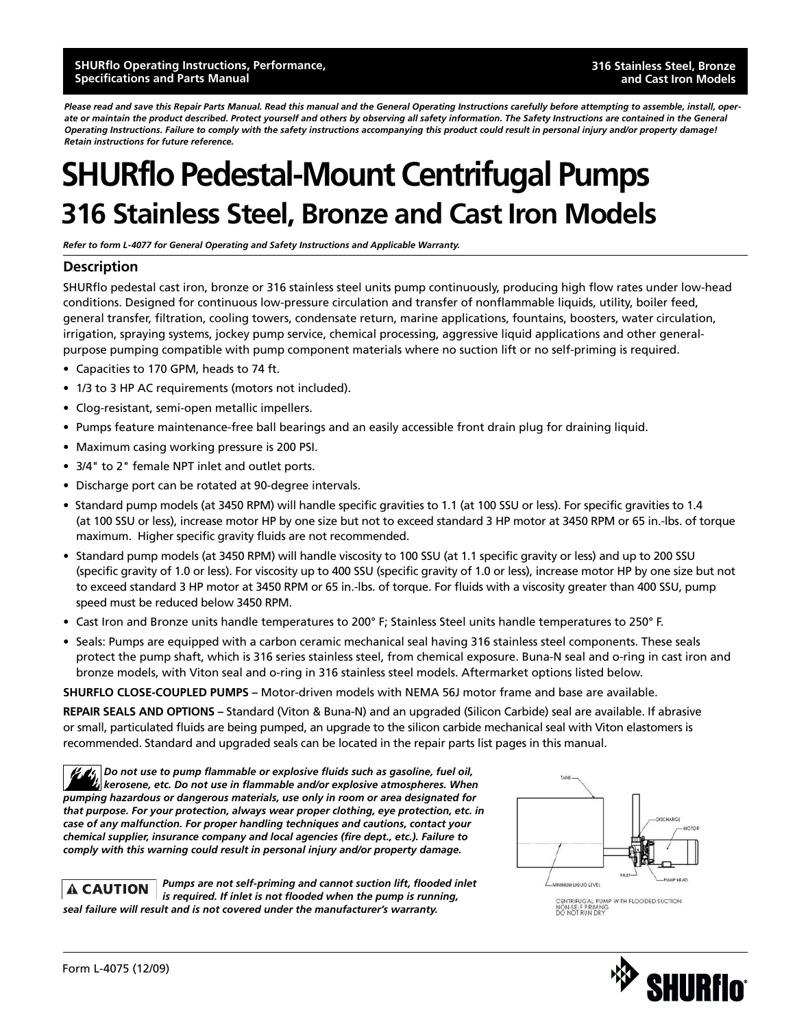*Please read and save this Repair Parts Manual. Read this manual and the General Operating Instructions carefully before attempting to assemble, install, operate or maintain the product described. Protect yourself and others by observing all safety information. The Safety Instructions are contained in the General Operating Instructions. Failure to comply with the safety instructions accompanying this product could result in personal injury and/or property damage! Retain instructions for future reference.*

## **SHURflo Pedestal-Mount Centrifugal Pumps 316 Stainless Steel, Bronze and Cast Iron Models**

*Refer to form L-4077 for General Operating and Safety Instructions and Applicable Warranty.*

#### **Description**

SHURflo pedestal cast iron, bronze or 316 stainless steel units pump continuously, producing high flow rates under low-head conditions. Designed for continuous low-pressure circulation and transfer of nonflammable liquids, utility, boiler feed, general transfer, filtration, cooling towers, condensate return, marine applications, fountains, boosters, water circulation, irrigation, spraying systems, jockey pump service, chemical processing, aggressive liquid applications and other generalpurpose pumping compatible with pump component materials where no suction lift or no self-priming is required.

- Capacities to 170 GPM, heads to 74 ft.
- 1/3 to 3 HP AC requirements (motors not included).
- Clog-resistant, semi-open metallic impellers.
- Pumps feature maintenance-free ball bearings and an easily accessible front drain plug for draining liquid.
- Maximum casing working pressure is 200 PSI.
- 3/4" to 2" female NPT inlet and outlet ports.
- Discharge port can be rotated at 90-degree intervals.
- Standard pump models (at 3450 RPM) will handle specific gravities to 1.1 (at 100 SSU or less). For specific gravities to 1.4 (at 100 SSU or less), increase motor HP by one size but not to exceed standard 3 HP motor at 3450 RPM or 65 in.-lbs. of torque maximum. Higher specific gravity fluids are not recommended.
- Standard pump models (at 3450 RPM) will handle viscosity to 100 SSU (at 1.1 specific gravity or less) and up to 200 SSU (specific gravity of 1.0 or less). For viscosity up to 400 SSU (specific gravity of 1.0 or less), increase motor HP by one size but not to exceed standard 3 HP motor at 3450 RPM or 65 in.-lbs. of torque. For fluids with a viscosity greater than 400 SSU, pump speed must be reduced below 3450 RPM.
- Cast Iron and Bronze units handle temperatures to 200° F; Stainless Steel units handle temperatures to 250° F.
- Seals: Pumps are equipped with a carbon ceramic mechanical seal having 316 stainless steel components. These seals protect the pump shaft, which is 316 series stainless steel, from chemical exposure. Buna-N seal and o-ring in cast iron and bronze models, with Viton seal and o-ring in 316 stainless steel models. Aftermarket options listed below.

**SHURFLO CLOSE-COUPLED PUMPS –** Motor-driven models with NEMA 56J motor frame and base are available.

**REPAIR SEALS AND OPTIONS –** Standard (Viton & Buna-N) and an upgraded (Silicon Carbide) seal are available. If abrasive or small, particulated fluids are being pumped, an upgrade to the silicon carbide mechanical seal with Viton elastomers is recommended. Standard and upgraded seals can be located in the repair parts list pages in this manual.

*Do not use to pump flammable or explosive fluids such as gasoline, fuel oil, kerosene, etc. Do not use in flammable and/or explosive atmospheres. When pumping hazardous or dangerous materials, use only in room or area designated for that purpose. For your protection, always wear proper clothing, eye protection, etc. in case of any malfunction. For proper handling techniques and cautions, contact your chemical supplier, insurance company and local agencies (fire dept., etc.). Failure to comply with this warning could result in personal injury and/or property damage.*

*Pumps are not self-priming and cannot suction lift, flooded inlet*  **A CAUTION** *is required. If inlet is not flooded when the pump is running, seal failure will result and is not covered under the manufacturer's warranty.*



CENTRIFUGAL PUMP WITH FLOODED SUCTION<br>NON-SELF PRIMING<br>DO NOT RUN DRY

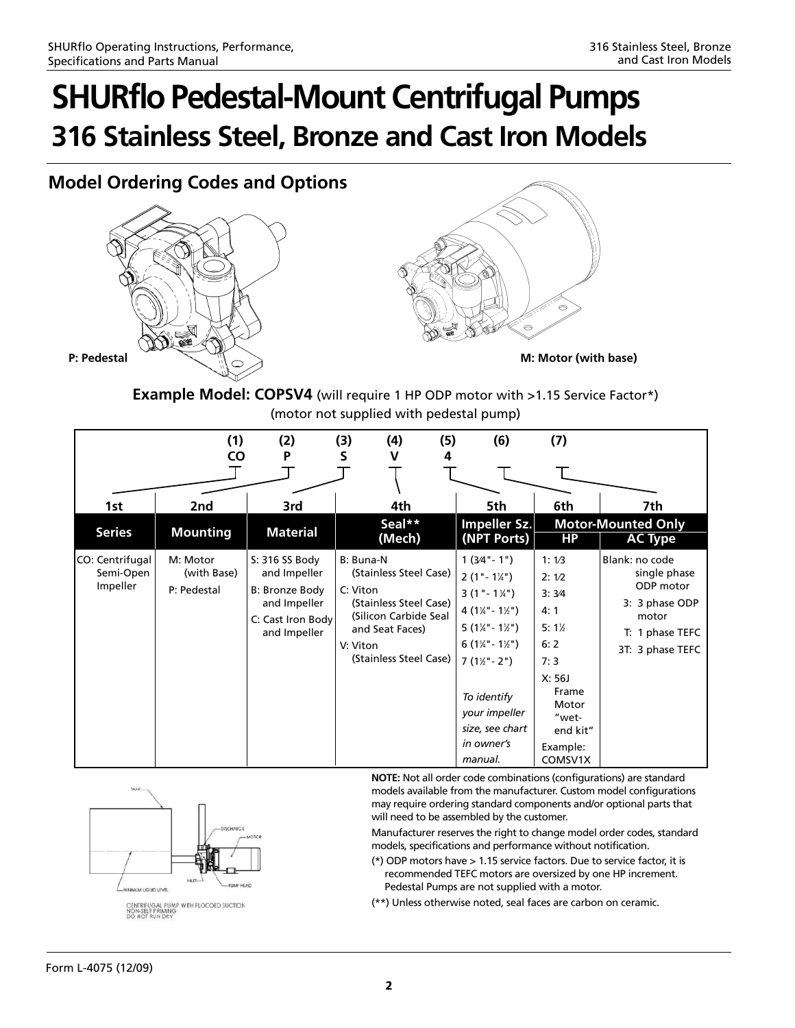### **Model Ordering Codes and Options**





**Example Model: COPSV4** (will require 1 HP ODP motor with >1.15 Service Factor\*) (motor not supplied with pedestal pump)

|                                          | (1)<br>CO                              | (2)<br>P                                                                                              | (3)<br>(4)<br>S<br>v                                                                                                                                        | (5)<br>4 | (6)                                                                                                                                                                                                                                                                        | (7)                                                                                                                             |                                                                                                               |
|------------------------------------------|----------------------------------------|-------------------------------------------------------------------------------------------------------|-------------------------------------------------------------------------------------------------------------------------------------------------------------|----------|----------------------------------------------------------------------------------------------------------------------------------------------------------------------------------------------------------------------------------------------------------------------------|---------------------------------------------------------------------------------------------------------------------------------|---------------------------------------------------------------------------------------------------------------|
|                                          |                                        |                                                                                                       |                                                                                                                                                             |          |                                                                                                                                                                                                                                                                            |                                                                                                                                 |                                                                                                               |
| 1st                                      | 2nd                                    | 3rd                                                                                                   | 4th                                                                                                                                                         |          | 5th                                                                                                                                                                                                                                                                        | 6th                                                                                                                             | 7th                                                                                                           |
| <b>Series</b>                            | <b>Mounting</b>                        | <b>Material</b>                                                                                       | Seal**<br>(Mech)                                                                                                                                            |          | Impeller Sz.<br>(NPT Ports)                                                                                                                                                                                                                                                | <b>HP</b>                                                                                                                       | <b>Motor-Mounted Only</b><br><b>AC Type</b>                                                                   |
| CO: Centrifugal<br>Semi-Open<br>Impeller | M: Motor<br>(with Base)<br>P: Pedestal | S: 316 SS Body<br>and Impeller<br>B: Bronze Body<br>and Impeller<br>C: Cast Iron Body<br>and Impeller | B: Buna-N<br>(Stainless Steel Case)<br>C: Viton<br>(Stainless Steel Case)<br>(Silicon Carbide Seal<br>and Seat Faces)<br>V: Viton<br>(Stainless Steel Case) |          | $1(3/4 - 1)$<br>$2(1 - 1\frac{1}{4})$<br>$3(1 - 1\frac{1}{4})$<br>$4(1\frac{1}{4}-1\frac{1}{2})$<br>$5(1\frac{1}{4}-1\frac{1}{2})$<br>$6(1\frac{1}{4}-1\frac{1}{2})$<br>$7(1\frac{1}{2} - 2))$<br>To identify<br>your impeller<br>size, see chart<br>in owner's<br>manual. | 1:1/3<br>2:1/2<br>3:3/4<br>4:1<br>$5:1\%$<br>6:2<br>7:3<br>X: 56J<br>Frame<br>Motor<br>"wet-<br>end kit"<br>Example:<br>COMSV1X | Blank: no code<br>single phase<br>ODP motor<br>3: 3 phase ODP<br>motor<br>T: 1 phase TEFC<br>3T: 3 phase TEFC |



**NOTE:** Not all order code combinations (configurations) are standard models available from the manufacturer. Custom model configurations may require ordering standard components and/or optional parts that will need to be assembled by the customer.

Manufacturer reserves the right to change model order codes, standard models, specifications and performance without notification.

- (\*) ODP motors have > 1.15 service factors. Due to service factor, it is recommended TEFC motors are oversized by one HP increment. Pedestal Pumps are not supplied with a motor.
- (\*\*) Unless otherwise noted, seal faces are carbon on ceramic.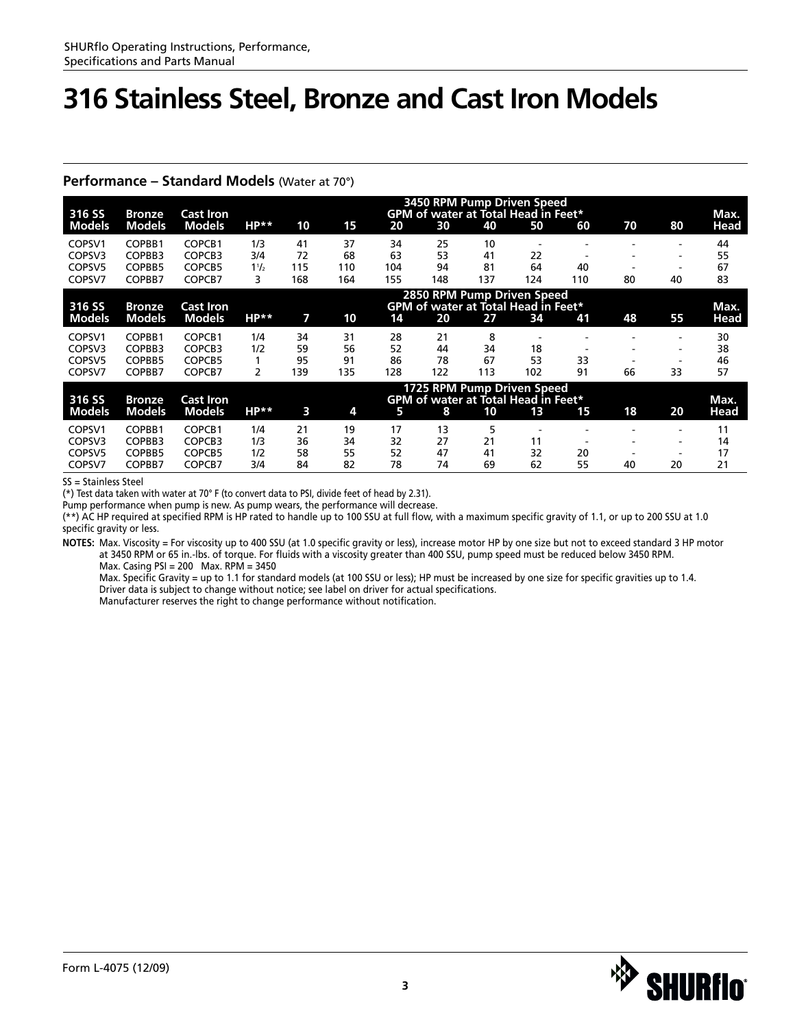#### **Performance – Standard Models** (Water at 70°)

| 316 SS             | <b>Bronze</b> | <b>Cast Iron</b> | 3450 RPM Pump Driven Speed<br><b>GPM of water at Total Head in Feet*</b> |                            |     |     |     |                                            |                          |                          |    | Max.                     |      |
|--------------------|---------------|------------------|--------------------------------------------------------------------------|----------------------------|-----|-----|-----|--------------------------------------------|--------------------------|--------------------------|----|--------------------------|------|
| <b>Models</b>      | <b>Models</b> | <b>Models</b>    | $HP**$                                                                   | 10                         | 15  | 20  | 30  | 40                                         | 50                       | 60                       | 70 | 80                       | Head |
| COPSV1             | COPBB1        | COPCB1           | 1/3                                                                      | 41                         | 37  | 34  | 25  | 10                                         |                          |                          |    |                          | 44   |
| COPSV3             | COPBB3        | COPCB3           | 3/4                                                                      | 72                         | 68  | 63  | 53  | 41                                         | 22                       |                          |    | $\overline{\phantom{a}}$ | 55   |
| COPSV5             | COPBB5        | COPCB5           | $1\frac{1}{2}$                                                           | 115                        | 110 | 104 | 94  | 81                                         | 64                       | 40                       |    |                          | 67   |
| COPSV7             | COPBB7        | COPCB7           | 3                                                                        | 168                        | 164 | 155 | 148 | 137                                        | 124                      | 110                      | 80 | 40                       | 83   |
|                    |               |                  |                                                                          | 2850 RPM Pump Driven Speed |     |     |     |                                            |                          |                          |    |                          |      |
| 316 SS             | <b>Bronze</b> | <b>Cast Iron</b> |                                                                          |                            |     |     |     | <b>GPM of water at Total Head in Feet*</b> |                          |                          |    |                          | Max. |
| <b>Models</b>      | <b>Models</b> | <b>Models</b>    | $HP**$                                                                   | 7                          | 10  | 14  | 20  | 27                                         | 34                       | 41                       | 48 | 55                       | Head |
| COPSV1             | COPBB1        | COPCB1           | 1/4                                                                      | 34                         | 31  | 28  | 21  | 8                                          | $\overline{\phantom{a}}$ |                          |    | $\overline{\phantom{a}}$ | 30   |
| COPSV3             | COPBB3        | COPCB3           | 1/2                                                                      | 59                         | 56  | 52  | 44  | 34                                         | 18                       |                          |    | $\overline{\phantom{a}}$ | 38   |
| COPSV <sub>5</sub> | COPBB5        | COPCB5           |                                                                          | 95                         | 91  | 86  | 78  | 67                                         | 53                       | 33                       |    | $\overline{\phantom{a}}$ | 46   |
| COPSV7             | COPBB7        | COPCB7           | 2                                                                        | 139                        | 135 | 128 | 122 | 113                                        | 102                      | 91                       | 66 | 33                       | 57   |
|                    |               |                  |                                                                          |                            |     |     |     | 1725 RPM Pump Driven Speed                 |                          |                          |    |                          |      |
| 316 SS             | <b>Bronze</b> | <b>Cast Iron</b> |                                                                          |                            |     |     |     | <b>GPM of water at Total Head in Feet*</b> |                          |                          |    |                          | Max. |
| <b>Models</b>      | <b>Models</b> | <b>Models</b>    | $HP**$                                                                   | 3                          | 4   | 5   | 8   | 10                                         | 13                       | 15                       | 18 | 20                       | Head |
| COPSV1             | COPBB1        | COPCB1           | 1/4                                                                      | 21                         | 19  | 17  | 13  | 5                                          |                          |                          |    | $\overline{\phantom{a}}$ | 11   |
| COPSV3             | COPBB3        | COPCB3           | 1/3                                                                      | 36                         | 34  | 32  | 27  | 21                                         | 11                       | $\overline{\phantom{a}}$ |    | $\overline{\phantom{a}}$ | 14   |
| COPSV <sub>5</sub> | COPBB5        | COPCB5           | 1/2                                                                      | 58                         | 55  | 52  | 47  | 41                                         | 32                       | 20                       |    | $\overline{\phantom{a}}$ | 17   |
| COPSV7             | COPBB7        | COPCB7           | 3/4                                                                      | 84                         | 82  | 78  | 74  | 69                                         | 62                       | 55                       | 40 | 20                       | 21   |

SS = Stainless Steel

(\*) Test data taken with water at 70° F (to convert data to PSI, divide feet of head by 2.31).

Pump performance when pump is new. As pump wears, the performance will decrease.

(\*\*) AC HP required at specified RPM is HP rated to handle up to 100 SSU at full flow, with a maximum specific gravity of 1.1, or up to 200 SSU at 1.0 specific gravity or less.

**NOTES:** Max. Viscosity = For viscosity up to 400 SSU (at 1.0 specific gravity or less), increase motor HP by one size but not to exceed standard 3 HP motor at 3450 RPM or 65 in.-lbs. of torque. For fluids with a viscosity greater than 400 SSU, pump speed must be reduced below 3450 RPM. Max. Casing PSI = 200 Max. RPM = 3450

Max. Specific Gravity = up to 1.1 for standard models (at 100 SSU or less); HP must be increased by one size for specific gravities up to 1.4. Driver data is subject to change without notice; see label on driver for actual specifications.

Manufacturer reserves the right to change performance without notification.

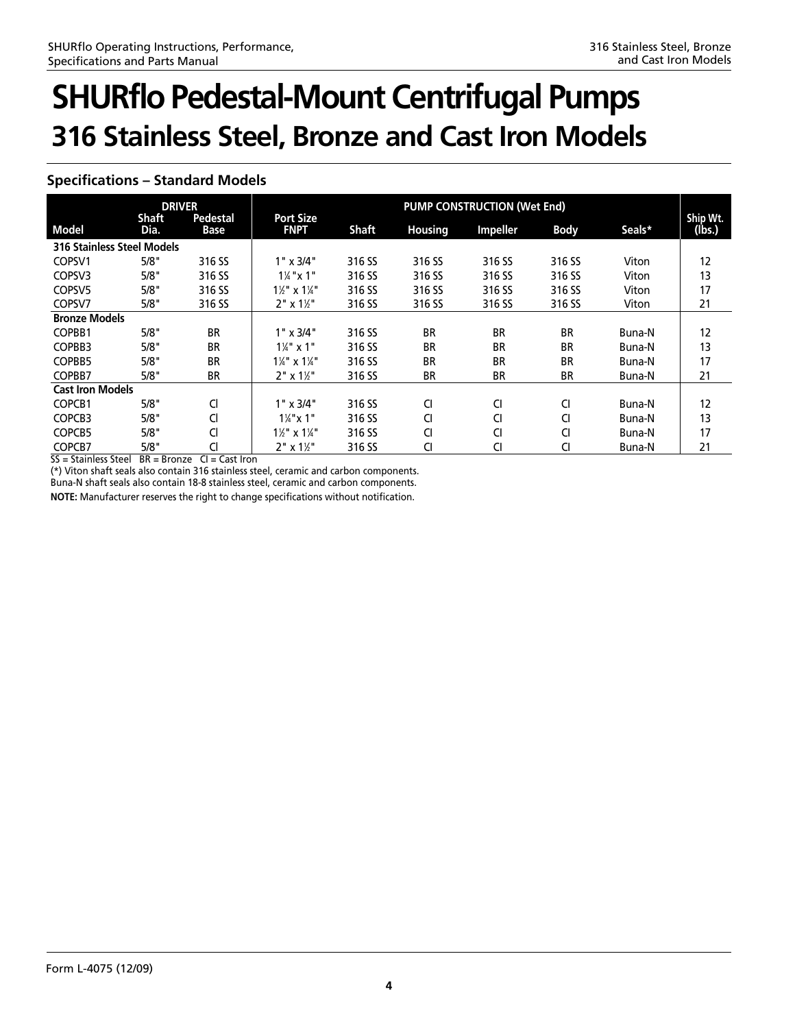### **Specifications – Standard Models**

| <b>DRIVER</b>                     |                      |                         | <b>PUMP CONSTRUCTION (Wet End)</b>  |              |                |                 |             |        |                    |  |
|-----------------------------------|----------------------|-------------------------|-------------------------------------|--------------|----------------|-----------------|-------------|--------|--------------------|--|
| <b>Model</b>                      | <b>Shaft</b><br>Dia. | <b>Pedestal</b><br>Base | <b>Port Size</b><br><b>FNPT</b>     | <b>Shaft</b> | <b>Housing</b> | <b>Impeller</b> | <b>Body</b> | Seals* | Ship Wt.<br>(lbs.) |  |
| <b>316 Stainless Steel Models</b> |                      |                         |                                     |              |                |                 |             |        |                    |  |
| COPSV1                            | 5/8"                 | 316 SS                  | $1" \times 3/4"$                    | 316 SS       | 316 SS         | 316 SS          | 316 SS      | Viton  | 12                 |  |
| COPSV3                            | 5/8"                 | 316 SS                  | $1\frac{1}{4}$ "x 1"                | 316 SS       | 316 SS         | 316 SS          | 316 SS      | Viton  | 13                 |  |
| COPSV <sub>5</sub>                | 5/8"                 | 316 SS                  | $1\frac{1}{8}$ " x $1\frac{1}{4}$ " | 316 SS       | 316 SS         | 316 SS          | 316 SS      | Viton  | 17                 |  |
| COPSV7                            | 5/8"                 | 316 SS                  | $2" \times 1\frac{1}{2}$            | 316 SS       | 316 SS         | 316 SS          | 316 SS      | Viton  | 21                 |  |
| <b>Bronze Models</b>              |                      |                         |                                     |              |                |                 |             |        |                    |  |
| COPBB1                            | 5/8"                 | <b>BR</b>               | $1" \times 3/4"$                    | 316 SS       | <b>BR</b>      | <b>BR</b>       | <b>BR</b>   | Buna-N | 12                 |  |
| COPBB3                            | 5/8"                 | <b>BR</b>               | $1\frac{1}{4}$ " x 1"               | 316 SS       | <b>BR</b>      | <b>BR</b>       | <b>BR</b>   | Buna-N | 13                 |  |
| COPBB5                            | 5/8"                 | <b>BR</b>               | $1\frac{1}{4}$ " x $1\frac{1}{4}$ " | 316 SS       | <b>BR</b>      | <b>BR</b>       | <b>BR</b>   | Buna-N | 17                 |  |
| COPBB7                            | 5/8"                 | <b>BR</b>               | $2" \times 1\frac{1}{2}$            | 316 SS       | <b>BR</b>      | <b>BR</b>       | <b>BR</b>   | Buna-N | 21                 |  |
| <b>Cast Iron Models</b>           |                      |                         |                                     |              |                |                 |             |        |                    |  |
| COPCB1                            | 5/8"                 | Cl                      | $1" \times 3/4"$                    | 316 SS       | CI             | CI              | CI          | Buna-N | 12                 |  |
| COPCB3                            | 5/8"                 | Cl                      | $1\frac{1}{4}$ " x 1"               | 316 SS       | CI             | CI              | CI          | Buna-N | 13                 |  |
| COPCB5                            | 5/8"                 | Cl                      | $1\frac{1}{2}$ " x $1\frac{1}{4}$ " | 316 SS       | <b>CI</b>      | CI              | CI          | Buna-N | 17                 |  |
| COPCB7                            | 5/8"                 | Cl                      | $2" \times 1\frac{1}{2}$            | 316 SS       | CI             | Cl              | Cl          | Buna-N | 21                 |  |

 $SS = Stainless Steel$   $BR = Bronze$   $Cl = Cast$  Iron

(\*) Viton shaft seals also contain 316 stainless steel, ceramic and carbon components.

Buna-N shaft seals also contain 18-8 stainless steel, ceramic and carbon components.

**NOTE:** Manufacturer reserves the right to change specifications without notification.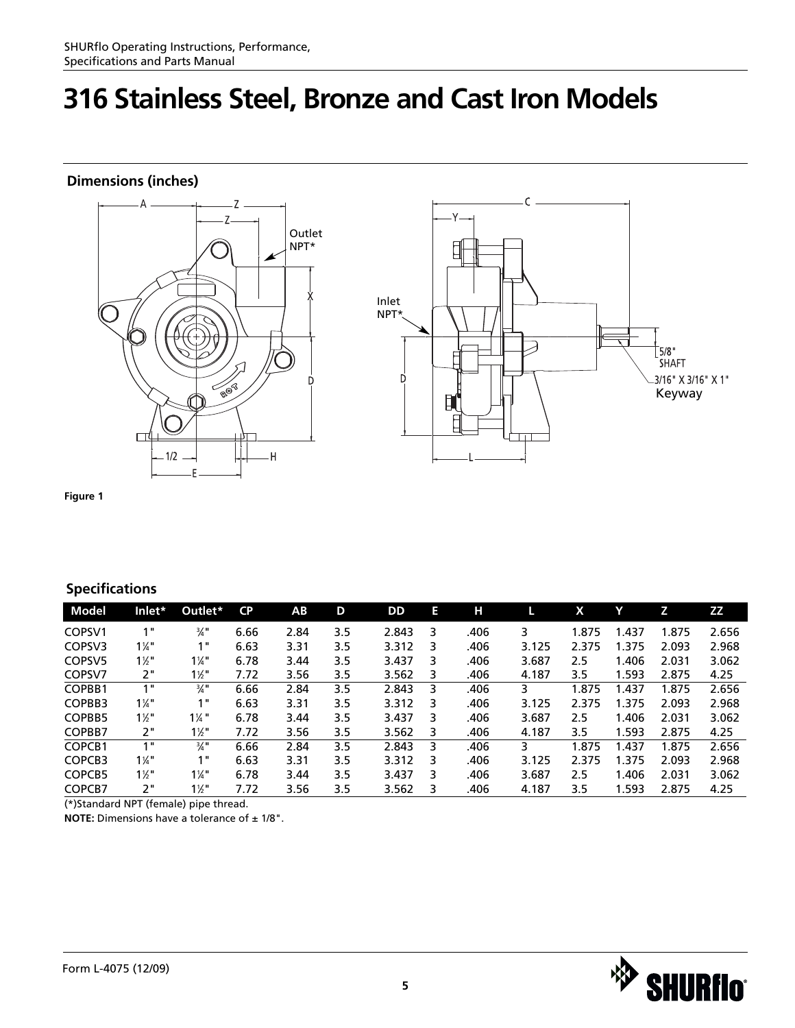### **Dimensions (inches)**





**Figure 1**

### **Specifications**

| Model              | Inlet*           | Outlet*          | <b>CP</b> | AB.  | D   | DD    | Е | н    |       | X     |        | Z     | ZZ    |
|--------------------|------------------|------------------|-----------|------|-----|-------|---|------|-------|-------|--------|-------|-------|
| COPSV1             | 1 "              | $\frac{3}{4}$ "  | 6.66      | 2.84 | 3.5 | 2.843 | 3 | .406 | 3     | 1.875 | 437. ا | 1.875 | 2.656 |
| COPSV3             | $1\frac{1}{4}$ " | 1"               | 6.63      | 3.31 | 3.5 | 3.312 | 3 | .406 | 3.125 | 2.375 | 1.375  | 2.093 | 2.968 |
| COPSV <sub>5</sub> | $1\frac{1}{2}$   | $1\frac{1}{4}$   | 6.78      | 3.44 | 3.5 | 3.437 | 3 | .406 | 3.687 | 2.5   | 1.406  | 2.031 | 3.062 |
| COPSV7             | 2"               | $1\frac{1}{2}$ " | 7.72      | 3.56 | 3.5 | 3.562 | 3 | .406 | 4.187 | 3.5   | 1.593  | 2.875 | 4.25  |
| COPBB1             | 1"               | $\frac{3}{4}$ "  | 6.66      | 2.84 | 3.5 | 2.843 | 3 | .406 | 3     | 1.875 | 1.437  | 1.875 | 2.656 |
| COPBB3             | $1\frac{1}{4}$   | 1"               | 6.63      | 3.31 | 3.5 | 3.312 | 3 | .406 | 3.125 | 2.375 | 1.375  | 2.093 | 2.968 |
| COPBB5             | $1\frac{1}{2}$   | $1\frac{1}{4}$   | 6.78      | 3.44 | 3.5 | 3.437 | 3 | .406 | 3.687 | 2.5   | 1.406  | 2.031 | 3.062 |
| COPBB7             | 2"               | $1\frac{1}{2}$ " | 7.72      | 3.56 | 3.5 | 3.562 | 3 | .406 | 4.187 | 3.5   | 1.593  | 2.875 | 4.25  |
| COPCB1             | 1"               | $\frac{3}{4}$ "  | 6.66      | 2.84 | 3.5 | 2.843 | 3 | .406 | 3     | 1.875 | 1.437  | 1.875 | 2.656 |
| COPCB3             | $1\frac{1}{4}$   | 1"               | 6.63      | 3.31 | 3.5 | 3.312 | 3 | .406 | 3.125 | 2.375 | 1.375  | 2.093 | 2.968 |
| COPCB5             | $1\frac{1}{2}$ " | $1\frac{1}{4}$ " | 6.78      | 3.44 | 3.5 | 3.437 | 3 | .406 | 3.687 | 2.5   | 1.406  | 2.031 | 3.062 |
| COPCB7             | 2"               | $1\frac{1}{2}$ " | 7.72      | 3.56 | 3.5 | 3.562 | 3 | .406 | 4.187 | 3.5   | 1.593  | 2.875 | 4.25  |

(\*)Standard NPT (female) pipe thread.

**NOTE:** Dimensions have a tolerance of  $\pm$  1/8".

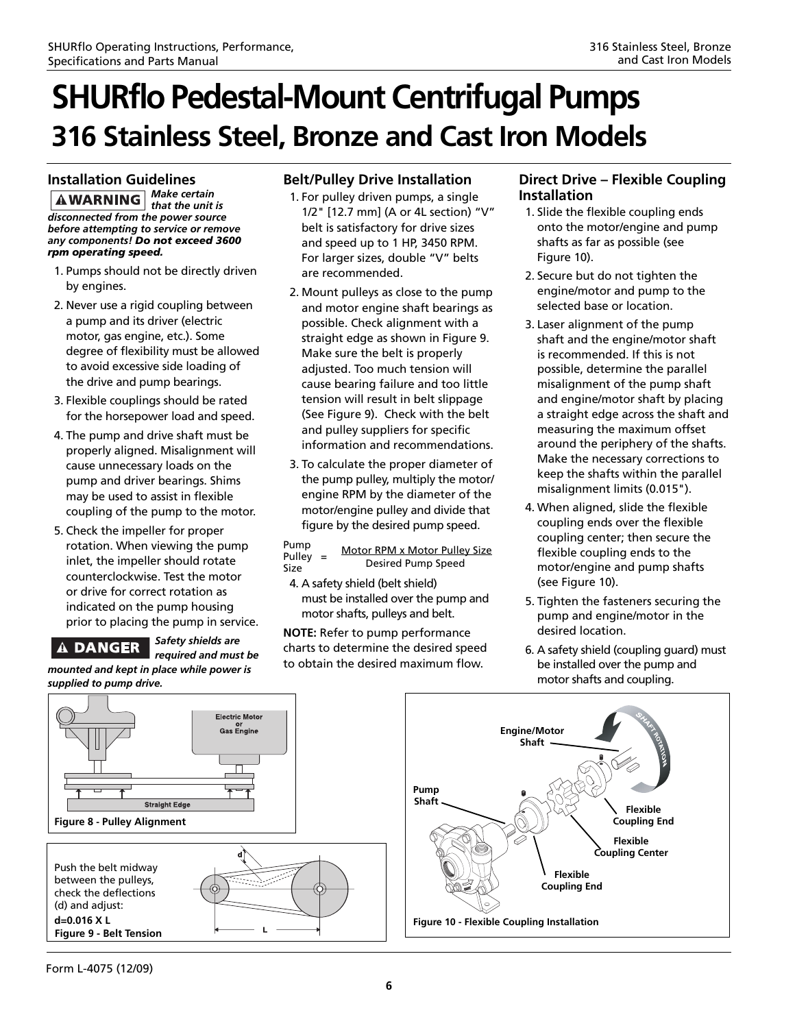#### **Installation Guidelines**

*Make certain*  **AWARNING** *that the unit is disconnected from the power source before attempting to service or remove any components! Do not exceed 3600 rpm operating speed.*

- 1. Pumps should not be directly driven by engines.
- 2. Never use a rigid coupling between a pump and its driver (electric motor, gas engine, etc.). Some degree of flexibility must be allowed to avoid excessive side loading of the drive and pump bearings.
- 3. Flexible couplings should be rated for the horsepower load and speed.
- 4. The pump and drive shaft must be properly aligned. Misalignment will cause unnecessary loads on the pump and driver bearings. Shims may be used to assist in flexible coupling of the pump to the motor.
- 5. Check the impeller for proper rotation. When viewing the pump inlet, the impeller should rotate counterclockwise. Test the motor or drive for correct rotation as indicated on the pump housing prior to placing the pump in service.

### **A DANGER**

*Safety shields are required and must be mounted and kept in place while power is*

### **Belt/Pulley Drive Installation**

- 1. For pulley driven pumps, a single 1/2" [12.7 mm] (A or 4L section) "V" belt is satisfactory for drive sizes and speed up to 1 HP, 3450 RPM. For larger sizes, double "V" belts are recommended.
- 2. Mount pulleys as close to the pump and motor engine shaft bearings as possible. Check alignment with a straight edge as shown in Figure 9. Make sure the belt is properly adjusted. Too much tension will cause bearing failure and too little tension will result in belt slippage (See Figure 9). Check with the belt and pulley suppliers for specific information and recommendations.
- 3. To calculate the proper diameter of the pump pulley, multiply the motor/ engine RPM by the diameter of the motor/engine pulley and divide that figure by the desired pump speed.

Pump Pulley = Motor RPM x Motor Pulley Size<br>Size Desired Pump Speed Desired Pump Speed

4. A safety shield (belt shield) must be installed over the pump and motor shafts, pulleys and belt.

**NOTE:** Refer to pump performance charts to determine the desired speed to obtain the desired maximum flow.

#### **Direct Drive – Flexible Coupling Installation**

- 1. Slide the flexible coupling ends onto the motor/engine and pump shafts as far as possible (see Figure 10).
- 2. Secure but do not tighten the engine/motor and pump to the selected base or location.
- 3. Laser alignment of the pump shaft and the engine/motor shaft is recommended. If this is not possible, determine the parallel misalignment of the pump shaft and engine/motor shaft by placing a straight edge across the shaft and measuring the maximum offset around the periphery of the shafts. Make the necessary corrections to keep the shafts within the parallel misalignment limits (0.015").
- 4. When aligned, slide the flexible coupling ends over the flexible coupling center; then secure the flexible coupling ends to the motor/engine and pump shafts (see Figure 10).
- 5. Tighten the fasteners securing the pump and engine/motor in the desired location.
- 6. A safety shield (coupling guard) must be installed over the pump and motor shafts and coupling.



Form L-4075 (12/09)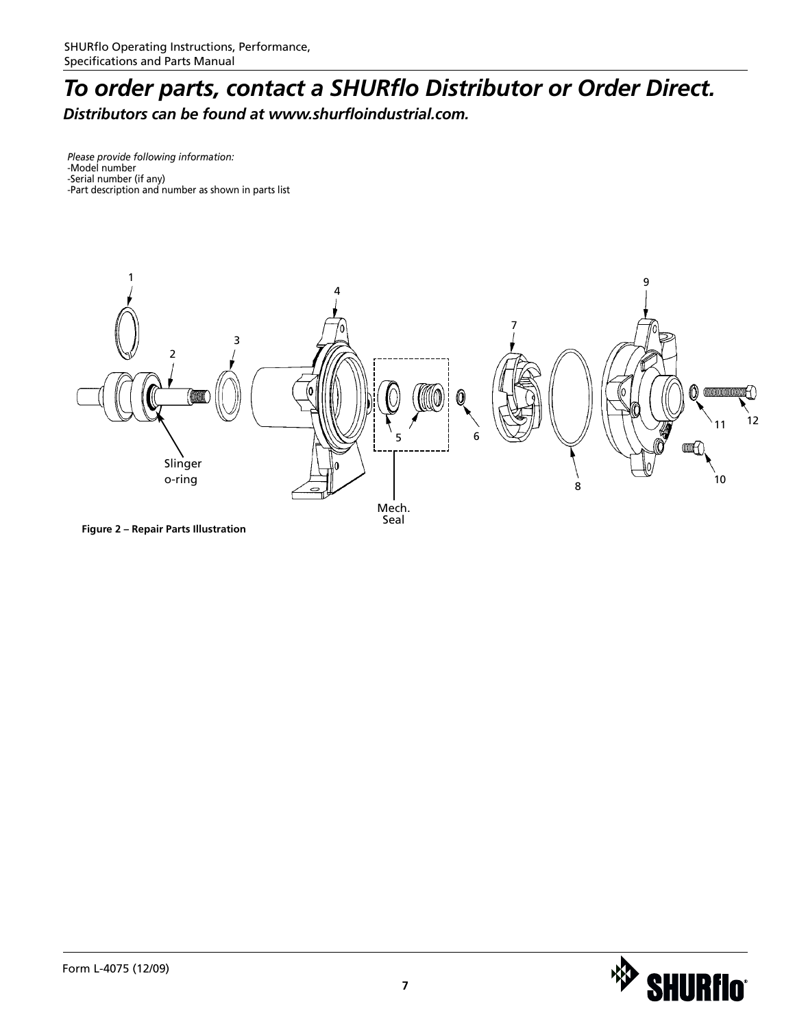### *To order parts, contact a SHURflo Distributor or Order Direct. Distributors can be found at www.shurfloindustrial.com.*

*Please provide following information:* -Model number -Serial number (if any) -Part description and number as shown in parts list



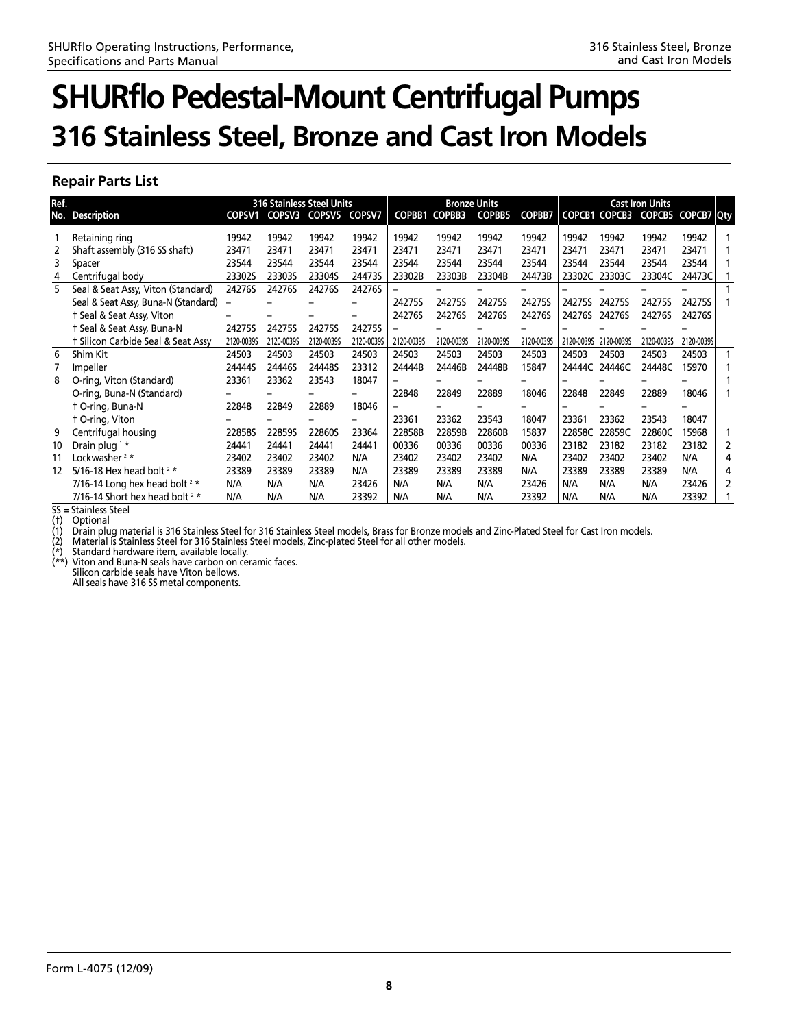### **Repair Parts List**

| Ref. |                                     |            | <b>316 Stainless Steel Units</b><br><b>Bronze Units</b> |               |               |               |               | <b>Cast Iron Units</b> |               |            |               |                   |            |   |
|------|-------------------------------------|------------|---------------------------------------------------------|---------------|---------------|---------------|---------------|------------------------|---------------|------------|---------------|-------------------|------------|---|
| No.  | <b>Description</b>                  |            | COPSV1 COPSV3                                           | <b>COPSV5</b> | <b>COPSV7</b> | <b>COPBB1</b> | <b>COPBB3</b> | <b>COPBB5</b>          | <b>COPBB7</b> |            | COPCB1 COPCB3 | COPCB5 COPCB7 Qty |            |   |
|      | Retaining ring                      | 19942      | 19942                                                   | 19942         | 19942         | 19942         | 19942         | 19942                  | 19942         | 19942      | 19942         | 19942             | 19942      |   |
|      | Shaft assembly (316 SS shaft)       | 23471      | 23471                                                   | 23471         | 23471         | 23471         | 23471         | 23471                  | 23471         | 23471      | 23471         | 23471             | 23471      |   |
| 3    | Spacer                              | 23544      | 23544                                                   | 23544         | 23544         | 23544         | 23544         | 23544                  | 23544         | 23544      | 23544         | 23544             | 23544      |   |
| 4    | Centrifugal body                    | 233025     | 233035                                                  | 23304S        | 244735        | 23302B        | 23303B        | 23304B                 | 24473B        | 23302C     | 23303C        | 23304C            | 24473C     |   |
| 5    | Seal & Seat Assy, Viton (Standard)  | 24276S     | 24276S                                                  | 24276S        | 24276S        |               |               |                        |               |            |               |                   |            |   |
|      | Seal & Seat Assy, Buna-N (Standard) |            |                                                         |               |               | 24275S        | 24275S        | 24275S                 | 24275S        | 24275S     | 24275S        | 24275S            | 24275S     |   |
|      | t Seal & Seat Assy, Viton           |            |                                                         |               |               | 24276S        | 24276S        | 24276S                 | 24276S        | 24276S     | 24276S        | 24276S            | 24276S     |   |
|      | † Seal & Seat Assy, Buna-N          | 24275S     | 24275S                                                  | 24275S        | 24275S        |               |               |                        |               |            |               |                   |            |   |
|      | † Silicon Carbide Seal & Seat Assy  | 2120-00395 | 2120-00395                                              | 2120-00395    | 2120-00395    | 2120-00395    | 2120-00395    | 2120-00395             | 2120-0039S    | 2120-00395 | 2120-00395    | 2120-00395        | 2120-00395 |   |
| 6    | Shim Kit                            | 24503      | 24503                                                   | 24503         | 24503         | 24503         | 24503         | 24503                  | 24503         | 24503      | 24503         | 24503             | 24503      |   |
|      | Impeller                            | 24444S     | 24446S                                                  | 24448S        | 23312         | 24444B        | 24446B        | 24448B                 | 15847         | 24444C     | 24446C        | 24448C            | 15970      |   |
| 8    | O-ring, Viton (Standard)            | 23361      | 23362                                                   | 23543         | 18047         |               |               |                        |               |            |               |                   |            |   |
|      | O-ring, Buna-N (Standard)           |            |                                                         |               |               | 22848         | 22849         | 22889                  | 18046         | 22848      | 22849         | 22889             | 18046      |   |
|      | t O-ring, Buna-N                    | 22848      | 22849                                                   | 22889         | 18046         |               |               |                        |               |            |               |                   |            |   |
|      | t O-ring, Viton                     |            |                                                         |               |               | 23361         | 23362         | 23543                  | 18047         | 23361      | 23362         | 23543             | 18047      |   |
| 9    | Centrifugal housing                 | 22858S     | 228595                                                  | 22860S        | 23364         | 22858B        | 22859B        | 22860B                 | 15837         | 22858C     | 22859C        | 22860C            | 15968      |   |
| 10   | Drain plug <sup>1</sup> *           | 24441      | 24441                                                   | 24441         | 24441         | 00336         | 00336         | 00336                  | 00336         | 23182      | 23182         | 23182             | 23182      | 2 |
| 11   | Lockwasher <sup>2*</sup>            | 23402      | 23402                                                   | 23402         | N/A           | 23402         | 23402         | 23402                  | N/A           | 23402      | 23402         | 23402             | N/A        | 4 |
| 12   | 5/16-18 Hex head bolt $2 *$         | 23389      | 23389                                                   | 23389         | N/A           | 23389         | 23389         | 23389                  | N/A           | 23389      | 23389         | 23389             | N/A        | 4 |
|      | 7/16-14 Long hex head bolt $2 *$    | N/A        | N/A                                                     | N/A           | 23426         | N/A           | N/A           | N/A                    | 23426         | N/A        | N/A           | N/A               | 23426      | 2 |
|      | 7/16-14 Short hex head bolt $2 *$   | N/A        | N/A                                                     | N/A           | 23392         | N/A           | N/A           | N/A                    | 23392         | N/A        | N/A           | N/A               | 23392      |   |

SS = Stainless Steel (†) Optional

(1) Drain plug material is 316 Stainless Steel for 316 Stainless Steel models, Brass for Bronze models and Zinc-Plated Steel for Cast Iron models.

(2) Material is Stainless Steel for 316 Stainless Steel models, Zinc-plated Steel for all other models.

Standard hardware item, available locally.

Viton and Buna-N seals have carbon on ceramic faces. Silicon carbide seals have Viton bellows. All seals have 316 SS metal components.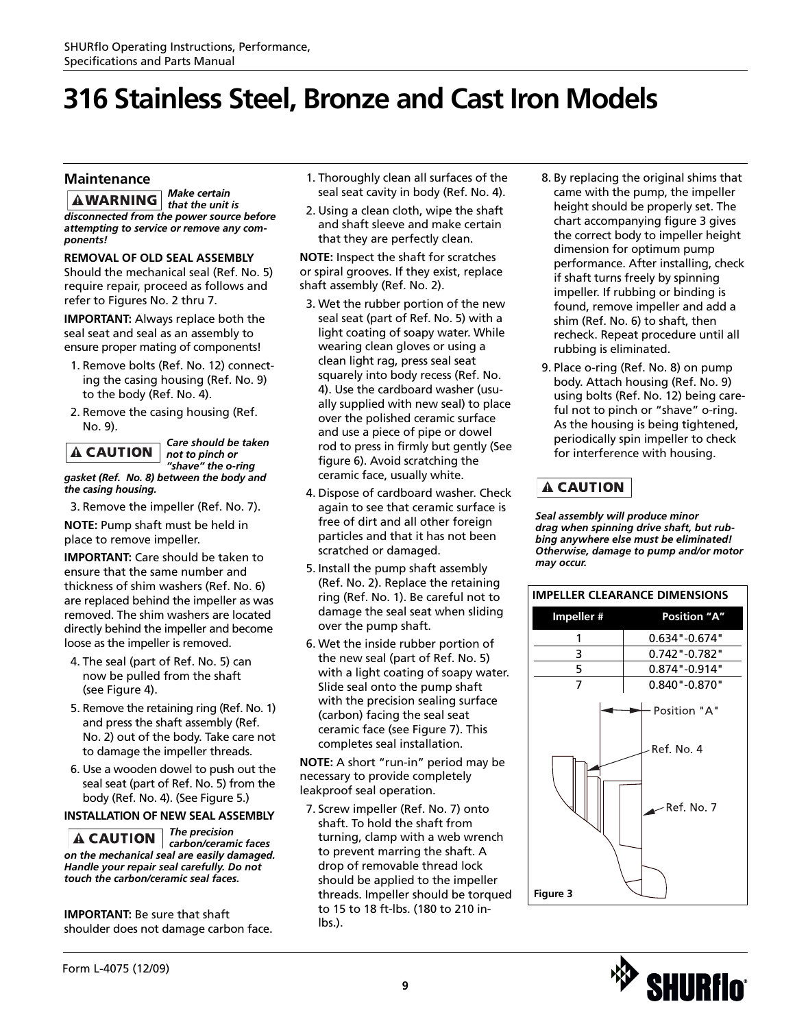#### **Maintenance**

*Make certain that the unit is disconnected from the power source before attempting to service or remove any components!*

#### **REMOVAL OF OLD SEAL ASSEMBLY**

Should the mechanical seal (Ref. No. 5) require repair, proceed as follows and refer to Figures No. 2 thru 7.

**IMPORTANT:** Always replace both the seal seat and seal as an assembly to ensure proper mating of components!

- 1. Remove bolts (Ref. No. 12) connecting the casing housing (Ref. No. 9) to the body (Ref. No. 4).
- 2. Remove the casing housing (Ref. No. 9).

### **A CAUTION**

*Care should be taken not to pinch or "shave" the o-ring*

*gasket (Ref. No. 8) between the body and the casing housing.*

3. Remove the impeller (Ref. No. 7).

**NOTE:** Pump shaft must be held in place to remove impeller.

**IMPORTANT:** Care should be taken to ensure that the same number and thickness of shim washers (Ref. No. 6) are replaced behind the impeller as was removed. The shim washers are located directly behind the impeller and become loose as the impeller is removed.

- 4. The seal (part of Ref. No. 5) can now be pulled from the shaft (see Figure 4).
- 5. Remove the retaining ring (Ref. No. 1) and press the shaft assembly (Ref. No. 2) out of the body. Take care not to damage the impeller threads.
- 6. Use a wooden dowel to push out the seal seat (part of Ref. No. 5) from the body (Ref. No. 4). (See Figure 5.)

#### **INSTALLATION OF NEW SEAL ASSEMBLY**

*The precision carbon/ceramic faces on the mechanical seal are easily damaged. Handle your repair seal carefully. Do not touch the carbon/ceramic seal faces.*

**IMPORTANT:** Be sure that shaft shoulder does not damage carbon face.

- 1. Thoroughly clean all surfaces of the seal seat cavity in body (Ref. No. 4).
- 2. Using a clean cloth, wipe the shaft and shaft sleeve and make certain that they are perfectly clean.

**NOTE:** Inspect the shaft for scratches or spiral grooves. If they exist, replace shaft assembly (Ref. No. 2).

- 3. Wet the rubber portion of the new seal seat (part of Ref. No. 5) with a light coating of soapy water. While wearing clean gloves or using a clean light rag, press seal seat squarely into body recess (Ref. No. 4). Use the cardboard washer (usually supplied with new seal) to place over the polished ceramic surface and use a piece of pipe or dowel rod to press in firmly but gently (See figure 6). Avoid scratching the ceramic face, usually white.
- 4. Dispose of cardboard washer. Check again to see that ceramic surface is free of dirt and all other foreign particles and that it has not been scratched or damaged.
- 5. Install the pump shaft assembly (Ref. No. 2). Replace the retaining ring (Ref. No. 1). Be careful not to damage the seal seat when sliding over the pump shaft.
- 6. Wet the inside rubber portion of the new seal (part of Ref. No. 5) with a light coating of soapy water. Slide seal onto the pump shaft with the precision sealing surface (carbon) facing the seal seat ceramic face (see Figure 7). This completes seal installation.

**NOTE:** A short "run-in" period may be necessary to provide completely leakproof seal operation.

7. Screw impeller (Ref. No. 7) onto shaft. To hold the shaft from turning, clamp with a web wrench to prevent marring the shaft. A drop of removable thread lock should be applied to the impeller threads. Impeller should be torqued to 15 to 18 ft-lbs. (180 to 210 inlbs.).

- 8. By replacing the original shims that came with the pump, the impeller height should be properly set. The chart accompanying figure 3 gives the correct body to impeller height dimension for optimum pump performance. After installing, check if shaft turns freely by spinning impeller. If rubbing or binding is found, remove impeller and add a shim (Ref. No. 6) to shaft, then recheck. Repeat procedure until all rubbing is eliminated.
- 9. Place o-ring (Ref. No. 8) on pump body. Attach housing (Ref. No. 9) using bolts (Ref. No. 12) being careful not to pinch or "shave" o-ring. As the housing is being tightened, periodically spin impeller to check for interference with housing.

### **A CAUTION**

*Seal assembly will produce minor drag when spinning drive shaft, but rubbing anywhere else must be eliminated! Otherwise, damage to pump and/or motor may occur.*



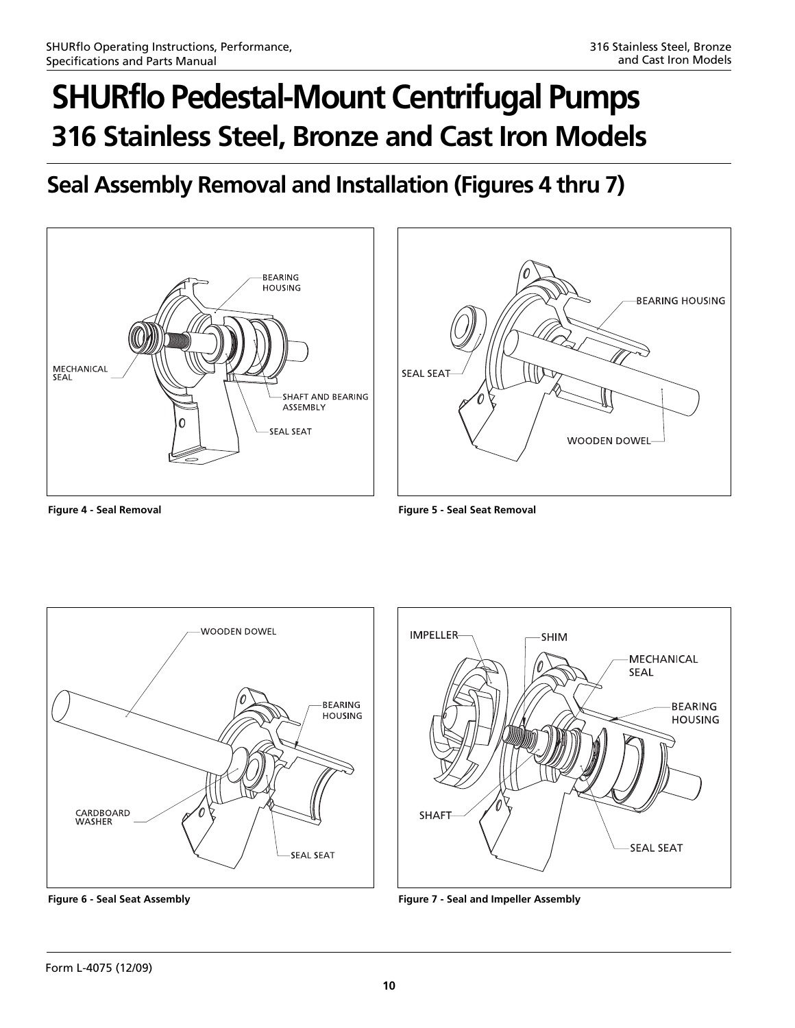### **Seal Assembly Removal and Installation (Figures 4 thru 7)**





**Figure 4 - Seal Removal Figure 5 - Seal Seat Removal**





**Figure 6 - Seal Seat Assembly Figure 7 - Seal and Impeller Assembly**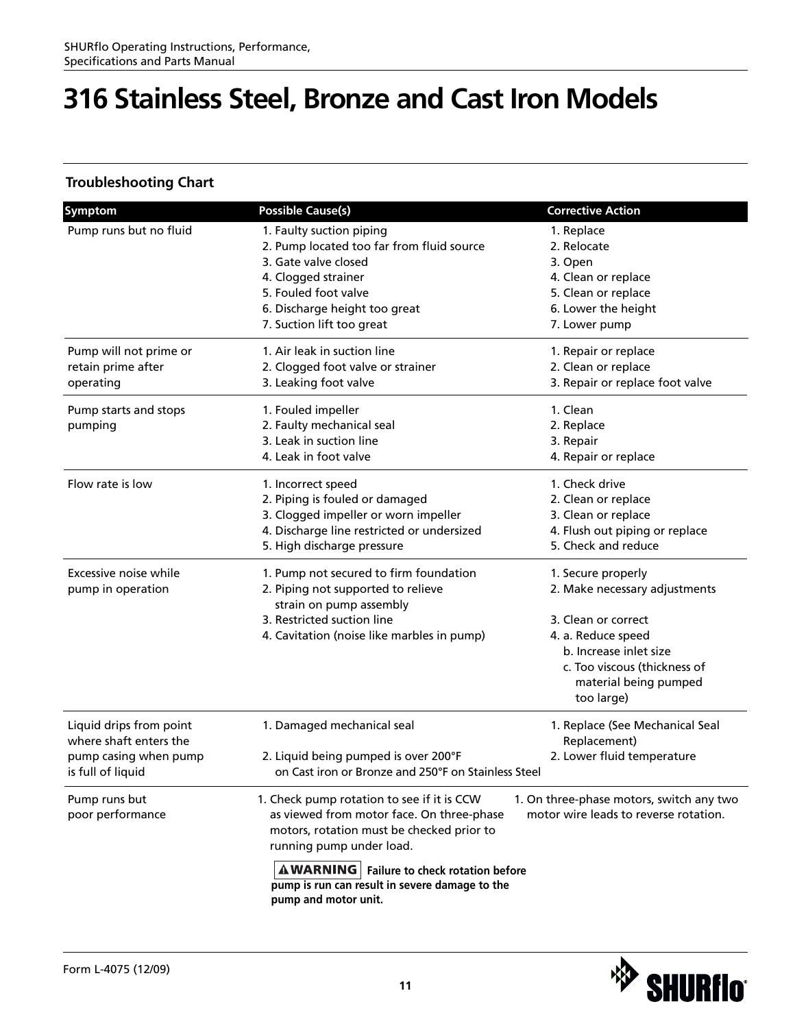### **Troubleshooting Chart**

| <b>Symptom</b>          | <b>Possible Cause(s)</b>                            | <b>Corrective Action</b>                 |
|-------------------------|-----------------------------------------------------|------------------------------------------|
| Pump runs but no fluid  | 1. Faulty suction piping                            | 1. Replace                               |
|                         | 2. Pump located too far from fluid source           | 2. Relocate                              |
|                         | 3. Gate valve closed                                | 3. Open                                  |
|                         | 4. Clogged strainer                                 | 4. Clean or replace                      |
|                         | 5. Fouled foot valve                                | 5. Clean or replace                      |
|                         | 6. Discharge height too great                       | 6. Lower the height                      |
|                         | 7. Suction lift too great                           | 7. Lower pump                            |
| Pump will not prime or  | 1. Air leak in suction line                         | 1. Repair or replace                     |
| retain prime after      | 2. Clogged foot valve or strainer                   | 2. Clean or replace                      |
| operating               | 3. Leaking foot valve                               | 3. Repair or replace foot valve          |
| Pump starts and stops   | 1. Fouled impeller                                  | 1. Clean                                 |
| pumping                 | 2. Faulty mechanical seal                           | 2. Replace                               |
|                         | 3. Leak in suction line                             | 3. Repair                                |
|                         | 4. Leak in foot valve                               | 4. Repair or replace                     |
| Flow rate is low        | 1. Incorrect speed                                  | 1. Check drive                           |
|                         | 2. Piping is fouled or damaged                      | 2. Clean or replace                      |
|                         | 3. Clogged impeller or worn impeller                | 3. Clean or replace                      |
|                         | 4. Discharge line restricted or undersized          | 4. Flush out piping or replace           |
|                         | 5. High discharge pressure                          | 5. Check and reduce                      |
| Excessive noise while   | 1. Pump not secured to firm foundation              | 1. Secure properly                       |
| pump in operation       | 2. Piping not supported to relieve                  | 2. Make necessary adjustments            |
|                         | strain on pump assembly                             |                                          |
|                         | 3. Restricted suction line                          | 3. Clean or correct                      |
|                         | 4. Cavitation (noise like marbles in pump)          | 4. a. Reduce speed                       |
|                         |                                                     | b. Increase inlet size                   |
|                         |                                                     | c. Too viscous (thickness of             |
|                         |                                                     | material being pumped                    |
|                         |                                                     | too large)                               |
| Liquid drips from point | 1. Damaged mechanical seal                          | 1. Replace (See Mechanical Seal          |
| where shaft enters the  |                                                     | Replacement)                             |
| pump casing when pump   | 2. Liquid being pumped is over 200°F                | 2. Lower fluid temperature               |
| is full of liquid       | on Cast iron or Bronze and 250°F on Stainless Steel |                                          |
| Pump runs but           | 1. Check pump rotation to see if it is CCW          | 1. On three-phase motors, switch any two |
| poor performance        | as viewed from motor face. On three-phase           | motor wire leads to reverse rotation.    |
|                         | motors, rotation must be checked prior to           |                                          |
|                         | running pump under load.                            |                                          |
|                         | <b>AWARNING</b>   Failure to check rotation before  |                                          |
|                         | pump is run can result in severe damage to the      |                                          |
|                         | pump and motor unit.                                |                                          |